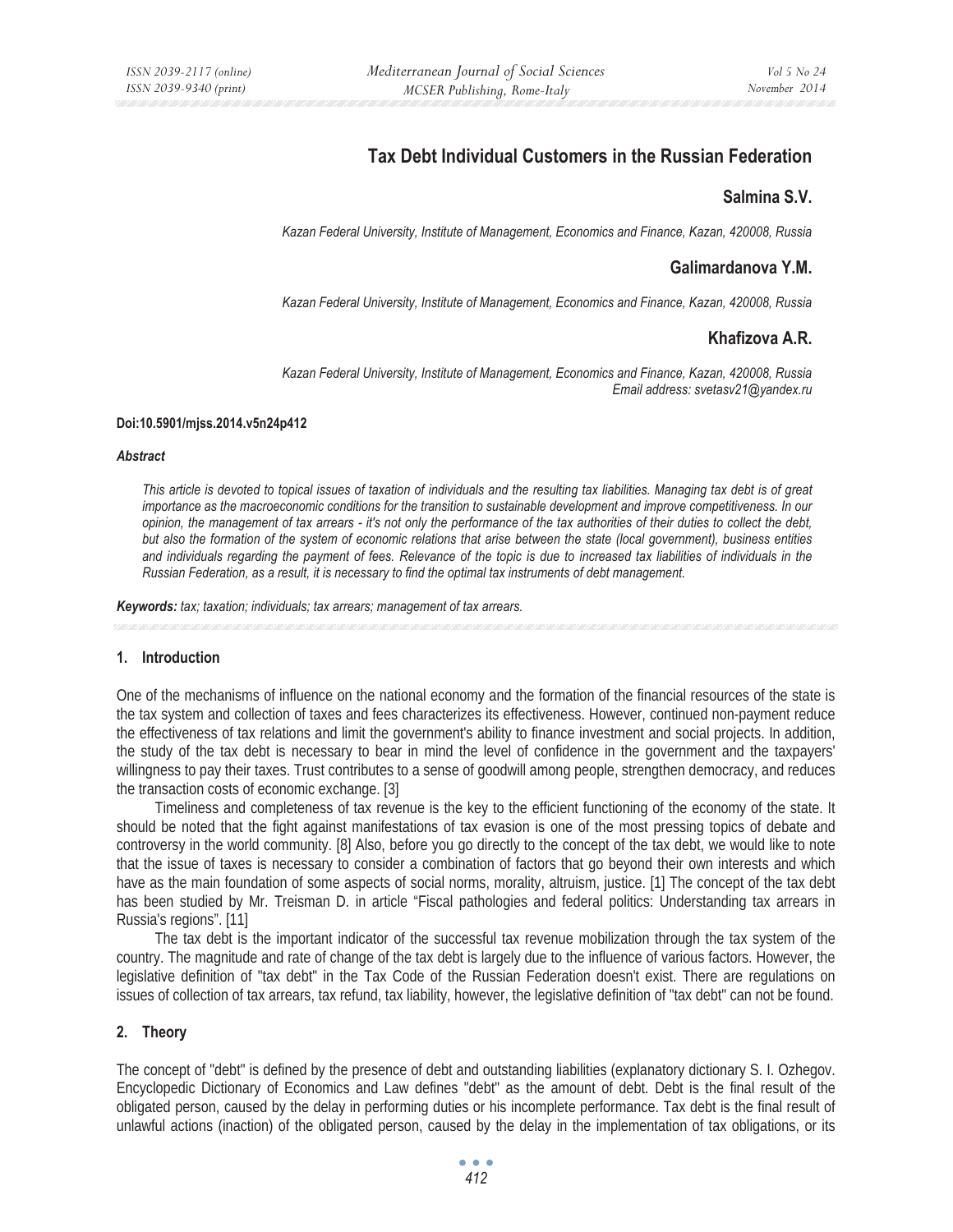# **Tax Debt Individual Customers in the Russian Federation**

## **Salmina S.V.**

*Kazan Federal University, Institute of Management, Economics and Finance, Kazan, 420008, Russia* 

## **Galimardanova Y.M.**

*Kazan Federal University, Institute of Management, Economics and Finance, Kazan, 420008, Russia* 

# **Khafizova A.R.**

*Kazan Federal University, Institute of Management, Economics and Finance, Kazan, 420008, Russia Email address: svetasv21@yandex.ru* 

#### **Doi:10.5901/mjss.2014.v5n24p412**

#### *Abstract*

*This article is devoted to topical issues of taxation of individuals and the resulting tax liabilities. Managing tax debt is of great*  importance as the macroeconomic conditions for the transition to sustainable development and improve competitiveness. In our *opinion, the management of tax arrears - it's not only the performance of the tax authorities of their duties to collect the debt, but also the formation of the system of economic relations that arise between the state (local government), business entities and individuals regarding the payment of fees. Relevance of the topic is due to increased tax liabilities of individuals in the Russian Federation, as a result, it is necessary to find the optimal tax instruments of debt management.* 

*Keywords: tax; taxation; individuals; tax arrears; management of tax arrears.*

#### **1. Introduction**

One of the mechanisms of influence on the national economy and the formation of the financial resources of the state is the tax system and collection of taxes and fees characterizes its effectiveness. However, continued non-payment reduce the effectiveness of tax relations and limit the government's ability to finance investment and social projects. In addition, the study of the tax debt is necessary to bear in mind the level of confidence in the government and the taxpayers' willingness to pay their taxes. Trust contributes to a sense of goodwill among people, strengthen democracy, and reduces the transaction costs of economic exchange. [3]

Timeliness and completeness of tax revenue is the key to the efficient functioning of the economy of the state. It should be noted that the fight against manifestations of tax evasion is one of the most pressing topics of debate and controversy in the world community. [8] Also, before you go directly to the concept of the tax debt, we would like to note that the issue of taxes is necessary to consider a combination of factors that go beyond their own interests and which have as the main foundation of some aspects of social norms, morality, altruism, justice. [1] The concept of the tax debt has been studied by Mr. Treisman D. in article "Fiscal pathologies and federal politics: Understanding tax arrears in Russia's regions". [11]

The tax debt is the important indicator of the successful tax revenue mobilization through the tax system of the country. The magnitude and rate of change of the tax debt is largely due to the influence of various factors. However, the legislative definition of "tax debt" in the Tax Code of the Russian Federation doesn't exist. There are regulations on issues of collection of tax arrears, tax refund, tax liability, however, the legislative definition of "tax debt" can not be found.

#### **2. Theory**

The concept of "debt" is defined by the presence of debt and outstanding liabilities (explanatory dictionary S. I. Ozhegov. Encyclopedic Dictionary of Economics and Law defines "debt" as the amount of debt. Debt is the final result of the obligated person, caused by the delay in performing duties or his incomplete performance. Tax debt is the final result of unlawful actions (inaction) of the obligated person, caused by the delay in the implementation of tax obligations, or its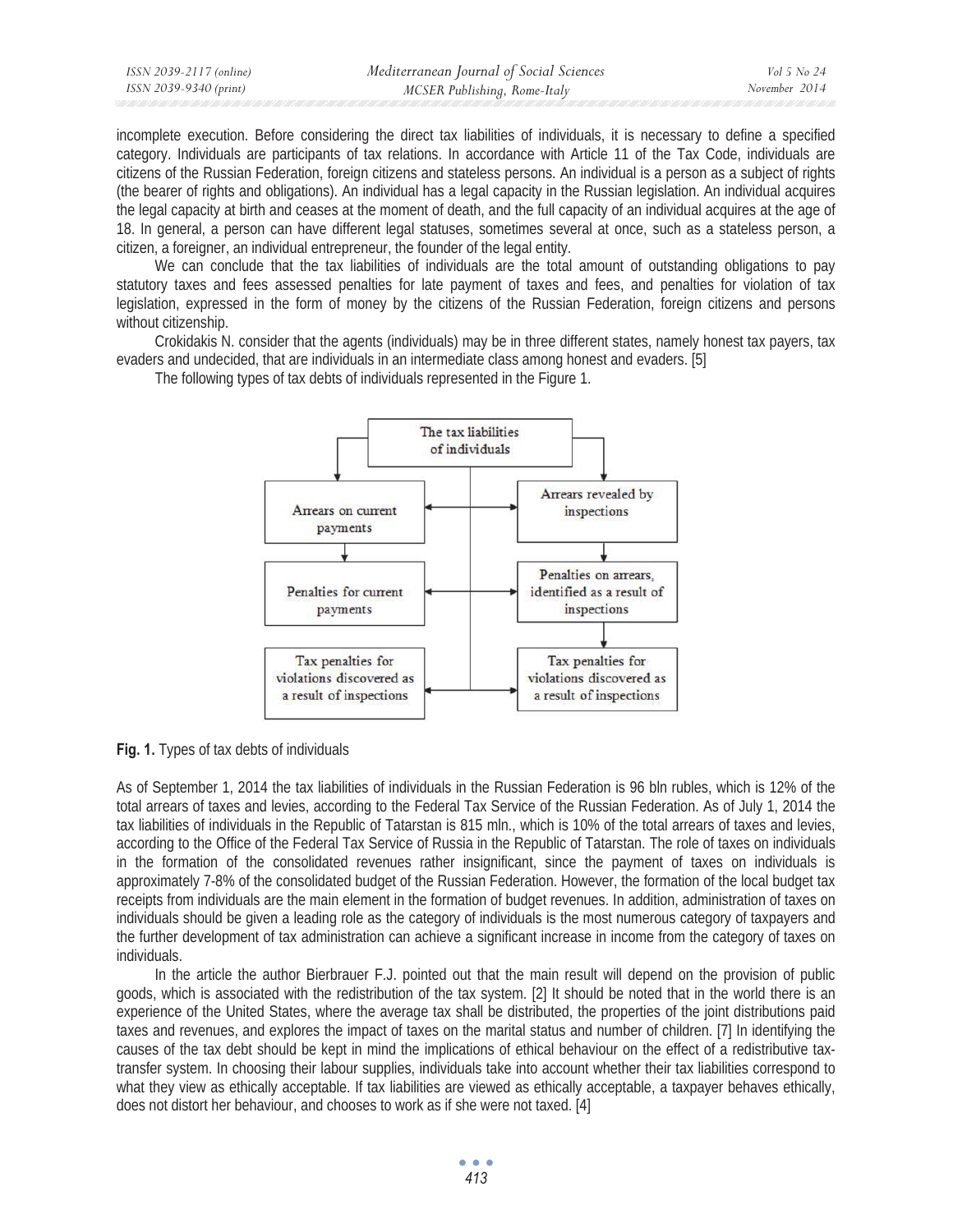| ISSN 2039-2117 (online) | Mediterranean Journal of Social Sciences | Vol 5 No 24   |
|-------------------------|------------------------------------------|---------------|
| ISSN 2039-9340 (print)  | MCSER Publishing, Rome-Italy             | November 2014 |

incomplete execution. Before considering the direct tax liabilities of individuals, it is necessary to define a specified category. Individuals are participants of tax relations. In accordance with Article 11 of the Tax Code, individuals are citizens of the Russian Federation, foreign citizens and stateless persons. An individual is a person as a subject of rights (the bearer of rights and obligations). An individual has a legal capacity in the Russian legislation. An individual acquires the legal capacity at birth and ceases at the moment of death, and the full capacity of an individual acquires at the age of 18. In general, a person can have different legal statuses, sometimes several at once, such as a stateless person, a citizen, a foreigner, an individual entrepreneur, the founder of the legal entity.

We can conclude that the tax liabilities of individuals are the total amount of outstanding obligations to pay statutory taxes and fees assessed penalties for late payment of taxes and fees, and penalties for violation of tax legislation, expressed in the form of money by the citizens of the Russian Federation, foreign citizens and persons without citizenship.

Crokidakis N. consider that the agents (individuals) may be in three different states, namely honest tax payers, tax evaders and undecided, that are individuals in an intermediate class among honest and evaders. [5]

The following types of tax debts of individuals represented in the Figure 1.



**Fig. 1.** Types of tax debts of individuals

As of September 1, 2014 the tax liabilities of individuals in the Russian Federation is 96 bln rubles, which is 12% of the total arrears of taxes and levies, according to the Federal Tax Service of the Russian Federation. As of July 1, 2014 the tax liabilities of individuals in the Republic of Tatarstan is 815 mln., which is 10% of the total arrears of taxes and levies, according to the Office of the Federal Tax Service of Russia in the Republic of Tatarstan. The role of taxes on individuals in the formation of the consolidated revenues rather insignificant, since the payment of taxes on individuals is approximately 7-8% of the consolidated budget of the Russian Federation. However, the formation of the local budget tax receipts from individuals are the main element in the formation of budget revenues. In addition, administration of taxes on individuals should be given a leading role as the category of individuals is the most numerous category of taxpayers and the further development of tax administration can achieve a significant increase in income from the category of taxes on individuals.

In the article the author Bierbrauer F.J. pointed out that the main result will depend on the provision of public goods, which is associated with the redistribution of the tax system. [2] It should be noted that in the world there is an experience of the United States, where the average tax shall be distributed, the properties of the joint distributions paid taxes and revenues, and explores the impact of taxes on the marital status and number of children. [7] In identifying the causes of the tax debt should be kept in mind the implications of ethical behaviour on the effect of a redistributive taxtransfer system. In choosing their labour supplies, individuals take into account whether their tax liabilities correspond to what they view as ethically acceptable. If tax liabilities are viewed as ethically acceptable, a taxpayer behaves ethically, does not distort her behaviour, and chooses to work as if she were not taxed. [4]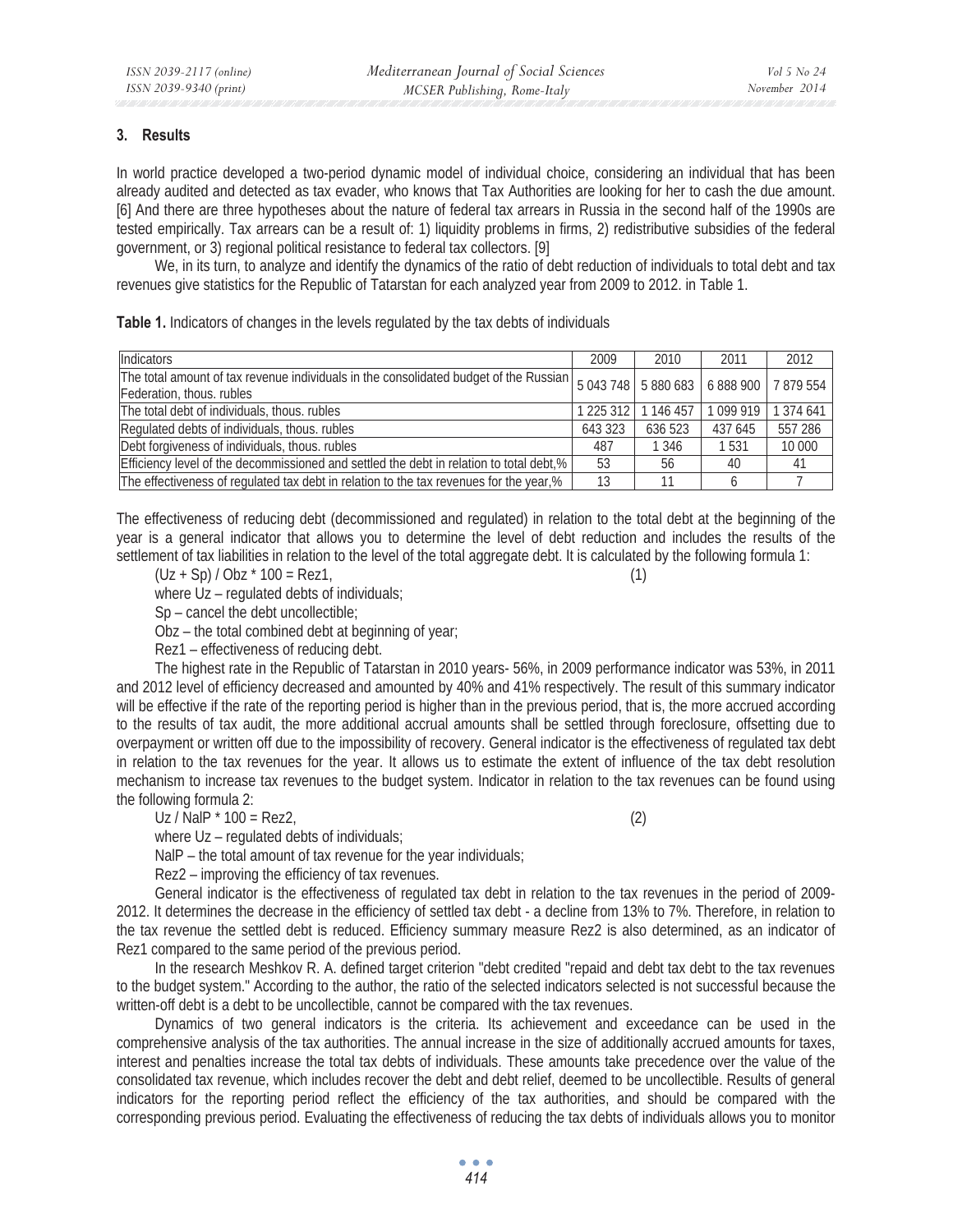### **3. Results**

In world practice developed a two-period dynamic model of individual choice, considering an individual that has been already audited and detected as tax evader, who knows that Tax Authorities are looking for her to cash the due amount. [6] And there are three hypotheses about the nature of federal tax arrears in Russia in the second half of the 1990s are tested empirically. Tax arrears can be a result of: 1) liquidity problems in firms, 2) redistributive subsidies of the federal government, or 3) regional political resistance to federal tax collectors. [9]

We, in its turn, to analyze and identify the dynamics of the ratio of debt reduction of individuals to total debt and tax revenues give statistics for the Republic of Tatarstan for each analyzed year from 2009 to 2012. in Table 1.

**Table 1.** Indicators of changes in the levels regulated by the tax debts of individuals

| Indicators                                                                                                                                                           | 2009                  | 2010    | 2011      | 2012      |
|----------------------------------------------------------------------------------------------------------------------------------------------------------------------|-----------------------|---------|-----------|-----------|
| The total amount of tax revenue individuals in the consolidated budget of the Russian   5 043 748   5 880 683   6 888 900   7 879 554  <br>Federation, thous. rubles |                       |         |           |           |
| The total debt of individuals, thous. rubles                                                                                                                         | 1 225 312 1 1 146 457 |         | 1 099 919 | 1 374 641 |
| Regulated debts of individuals, thous. rubles                                                                                                                        |                       | 636 523 | 437 645   | 557 286   |
| Debt forgiveness of individuals, thous. rubles                                                                                                                       |                       | 1 3 4 6 | 1 5 3 1   | 10 000    |
| Efficiency level of the decommissioned and settled the debt in relation to total debt,%                                                                              |                       | 56      | 40        | 41        |
| The effectiveness of regulated tax debt in relation to the tax revenues for the year,%                                                                               |                       |         |           |           |

The effectiveness of reducing debt (decommissioned and regulated) in relation to the total debt at the beginning of the year is a general indicator that allows you to determine the level of debt reduction and includes the results of the settlement of tax liabilities in relation to the level of the total aggregate debt. It is calculated by the following formula 1:

 $(Uz + Sp)/Obz * 100 = Rez1$ , (1)

where Uz – regulated debts of individuals;

Sp – cancel the debt uncollectible;

Obz – the total combined debt at beginning of year;

Rez1 – effectiveness of reducing debt.

The highest rate in the Republic of Tatarstan in 2010 years- 56%, in 2009 performance indicator was 53%, in 2011 and 2012 level of efficiency decreased and amounted by 40% and 41% respectively. The result of this summary indicator will be effective if the rate of the reporting period is higher than in the previous period, that is, the more accrued according to the results of tax audit, the more additional accrual amounts shall be settled through foreclosure, offsetting due to overpayment or written off due to the impossibility of recovery. General indicator is the effectiveness of regulated tax debt in relation to the tax revenues for the year. It allows us to estimate the extent of influence of the tax debt resolution mechanism to increase tax revenues to the budget system. Indicator in relation to the tax revenues can be found using the following formula 2:

 $Uz / NalP * 100 = Rez2$ , (2)

where Uz – regulated debts of individuals;

NalP – the total amount of tax revenue for the year individuals;

Rez2 – improving the efficiency of tax revenues.

General indicator is the effectiveness of regulated tax debt in relation to the tax revenues in the period of 2009- 2012. It determines the decrease in the efficiency of settled tax debt - a decline from 13% to 7%. Therefore, in relation to the tax revenue the settled debt is reduced. Efficiency summary measure Rez2 is also determined, as an indicator of Rez1 compared to the same period of the previous period.

In the research Meshkov R. A. defined target criterion "debt credited "repaid and debt tax debt to the tax revenues to the budget system." According to the author, the ratio of the selected indicators selected is not successful because the written-off debt is a debt to be uncollectible, cannot be compared with the tax revenues.

Dynamics of two general indicators is the criteria. Its achievement and exceedance can be used in the comprehensive analysis of the tax authorities. The annual increase in the size of additionally accrued amounts for taxes, interest and penalties increase the total tax debts of individuals. These amounts take precedence over the value of the consolidated tax revenue, which includes recover the debt and debt relief, deemed to be uncollectible. Results of general indicators for the reporting period reflect the efficiency of the tax authorities, and should be compared with the corresponding previous period. Evaluating the effectiveness of reducing the tax debts of individuals allows you to monitor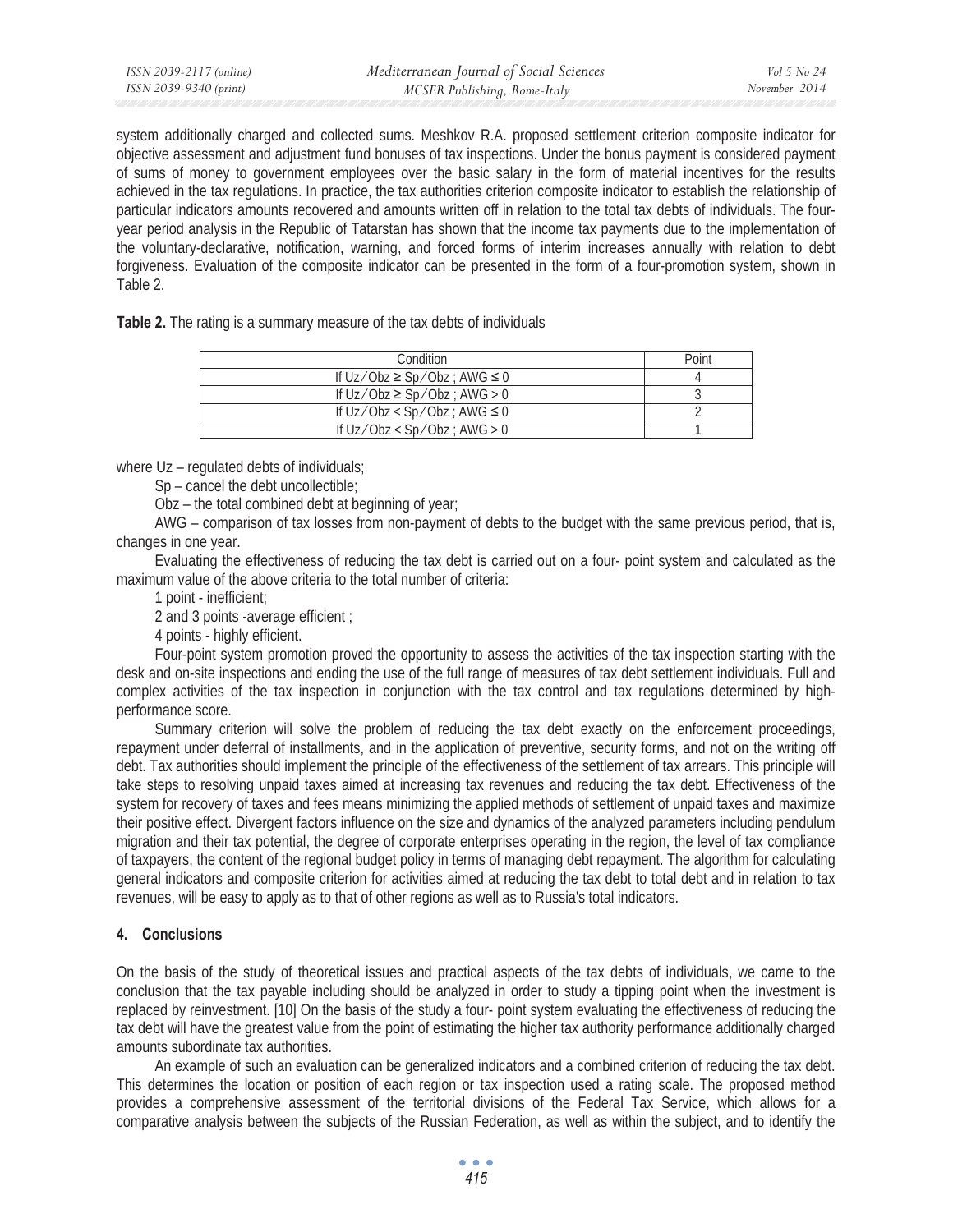*Vol 5 No 24 November 2014* 

system additionally charged and collected sums. Meshkov R.A. proposed settlement criterion composite indicator for objective assessment and adjustment fund bonuses of tax inspections. Under the bonus payment is considered payment of sums of money to government employees over the basic salary in the form of material incentives for the results achieved in the tax regulations. In practice, the tax authorities criterion composite indicator to establish the relationship of particular indicators amounts recovered and amounts written off in relation to the total tax debts of individuals. The fouryear period analysis in the Republic of Tatarstan has shown that the income tax payments due to the implementation of the voluntary-declarative, notification, warning, and forced forms of interim increases annually with relation to debt forgiveness. Evaluation of the composite indicator can be presented in the form of a four-promotion system, shown in Table 2.

**Table 2.** The rating is a summary measure of the tax debts of individuals

| Condition                                 | Point |
|-------------------------------------------|-------|
| If $Uz/O$ bz $\geq$ Sp/Obz ; AWG $\leq$ 0 |       |
| If $Uz/O$ bz $\geq$ Sp/Obz ; AWG $> 0$    |       |
| If $Uz/Obz < Sp/Obz$ ; AWG $\leq 0$       |       |
| If $Uz/Obz < Sp/Obz$ ; AWG > 0            |       |

where Uz – regulated debts of individuals;

Sp – cancel the debt uncollectible;

Obz – the total combined debt at beginning of year;

AWG – comparison of tax losses from non-payment of debts to the budget with the same previous period, that is, changes in one year.

Evaluating the effectiveness of reducing the tax debt is carried out on a four- point system and calculated as the maximum value of the above criteria to the total number of criteria:

1 point - inefficient;

2 and 3 points -average efficient ;

4 points - highly efficient.

Four-point system promotion proved the opportunity to assess the activities of the tax inspection starting with the desk and on-site inspections and ending the use of the full range of measures of tax debt settlement individuals. Full and complex activities of the tax inspection in conjunction with the tax control and tax regulations determined by highperformance score.

Summary criterion will solve the problem of reducing the tax debt exactly on the enforcement proceedings, repayment under deferral of installments, and in the application of preventive, security forms, and not on the writing off debt. Tax authorities should implement the principle of the effectiveness of the settlement of tax arrears. This principle will take steps to resolving unpaid taxes aimed at increasing tax revenues and reducing the tax debt. Effectiveness of the system for recovery of taxes and fees means minimizing the applied methods of settlement of unpaid taxes and maximize their positive effect. Divergent factors influence on the size and dynamics of the analyzed parameters including pendulum migration and their tax potential, the degree of corporate enterprises operating in the region, the level of tax compliance of taxpayers, the content of the regional budget policy in terms of managing debt repayment. The algorithm for calculating general indicators and composite criterion for activities aimed at reducing the tax debt to total debt and in relation to tax revenues, will be easy to apply as to that of other regions as well as to Russia's total indicators.

## **4. Conclusions**

On the basis of the study of theoretical issues and practical aspects of the tax debts of individuals, we came to the conclusion that the tax payable including should be analyzed in order to study a tipping point when the investment is replaced by reinvestment. [10] On the basis of the study a four- point system evaluating the effectiveness of reducing the tax debt will have the greatest value from the point of estimating the higher tax authority performance additionally charged amounts subordinate tax authorities.

An example of such an evaluation can be generalized indicators and a combined criterion of reducing the tax debt. This determines the location or position of each region or tax inspection used a rating scale. The proposed method provides a comprehensive assessment of the territorial divisions of the Federal Tax Service, which allows for a comparative analysis between the subjects of the Russian Federation, as well as within the subject, and to identify the